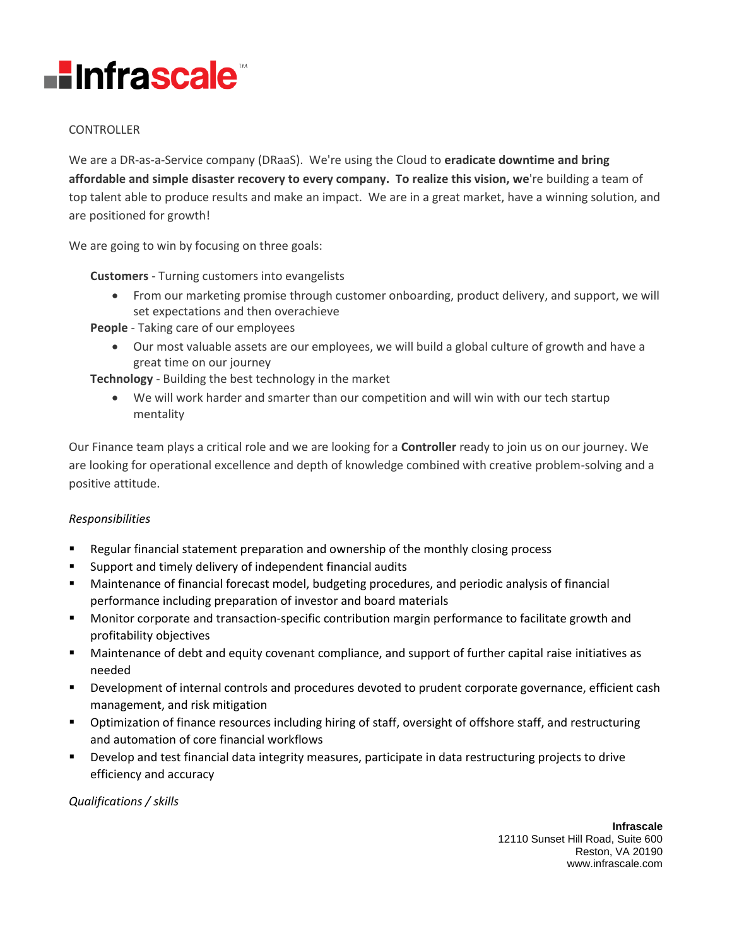

## CONTROLLER

We are a DR-as-a-Service company (DRaaS). We're using the Cloud to **eradicate downtime and bring affordable and simple disaster recovery to every company. To realize this vision, we**'re building a team of top talent able to produce results and make an impact. We are in a great market, have a winning solution, and are positioned for growth!

We are going to win by focusing on three goals:

**Customers** - Turning customers into evangelists

• From our marketing promise through customer onboarding, product delivery, and support, we will set expectations and then overachieve

**People** - Taking care of our employees

• Our most valuable assets are our employees, we will build a global culture of growth and have a great time on our journey

**Technology** - Building the best technology in the market

• We will work harder and smarter than our competition and will win with our tech startup mentality

Our Finance team plays a critical role and we are looking for a **Controller** ready to join us on our journey. We are looking for operational excellence and depth of knowledge combined with creative problem-solving and a positive attitude.

## *Responsibilities*

- Regular financial statement preparation and ownership of the monthly closing process
- Support and timely delivery of independent financial audits
- Maintenance of financial forecast model, budgeting procedures, and periodic analysis of financial performance including preparation of investor and board materials
- **■** Monitor corporate and transaction-specific contribution margin performance to facilitate growth and profitability objectives
- Maintenance of debt and equity covenant compliance, and support of further capital raise initiatives as needed
- **EXECO PERICOPER 1** Development of internal controls and procedures devoted to prudent corporate governance, efficient cash management, and risk mitigation
- **•** Optimization of finance resources including hiring of staff, oversight of offshore staff, and restructuring and automation of core financial workflows
- Develop and test financial data integrity measures, participate in data restructuring projects to drive efficiency and accuracy

*Qualifications / skills*

**Infrascale** 12110 Sunset Hill Road, Suite 600 Reston, VA 20190 www.infrascale.com